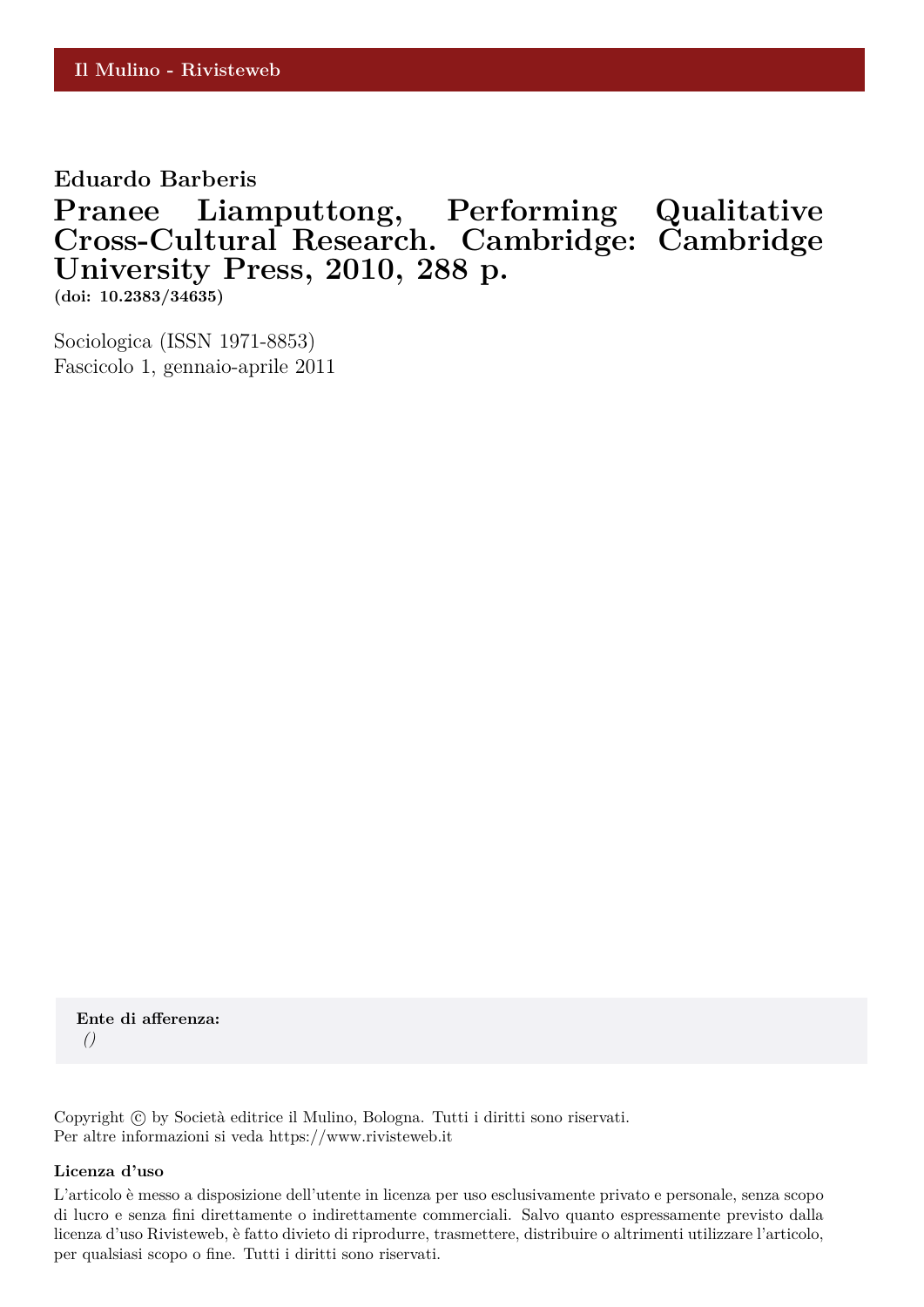**Eduardo Barberis**

**Pranee Liamputtong, Performing Qualitative Cross-Cultural Research. Cambridge: Cambridge University Press, 2010, 288 p.**

**(doi: 10.2383/34635)**

Sociologica (ISSN 1971-8853) Fascicolo 1, gennaio-aprile 2011

**Ente di afferenza:** *()*

Copyright © by Società editrice il Mulino, Bologna. Tutti i diritti sono riservati. Per altre informazioni si veda https://www.rivisteweb.it

## **Licenza d'uso**

L'articolo è messo a disposizione dell'utente in licenza per uso esclusivamente privato e personale, senza scopo di lucro e senza fini direttamente o indirettamente commerciali. Salvo quanto espressamente previsto dalla licenza d'uso Rivisteweb, è fatto divieto di riprodurre, trasmettere, distribuire o altrimenti utilizzare l'articolo, per qualsiasi scopo o fine. Tutti i diritti sono riservati.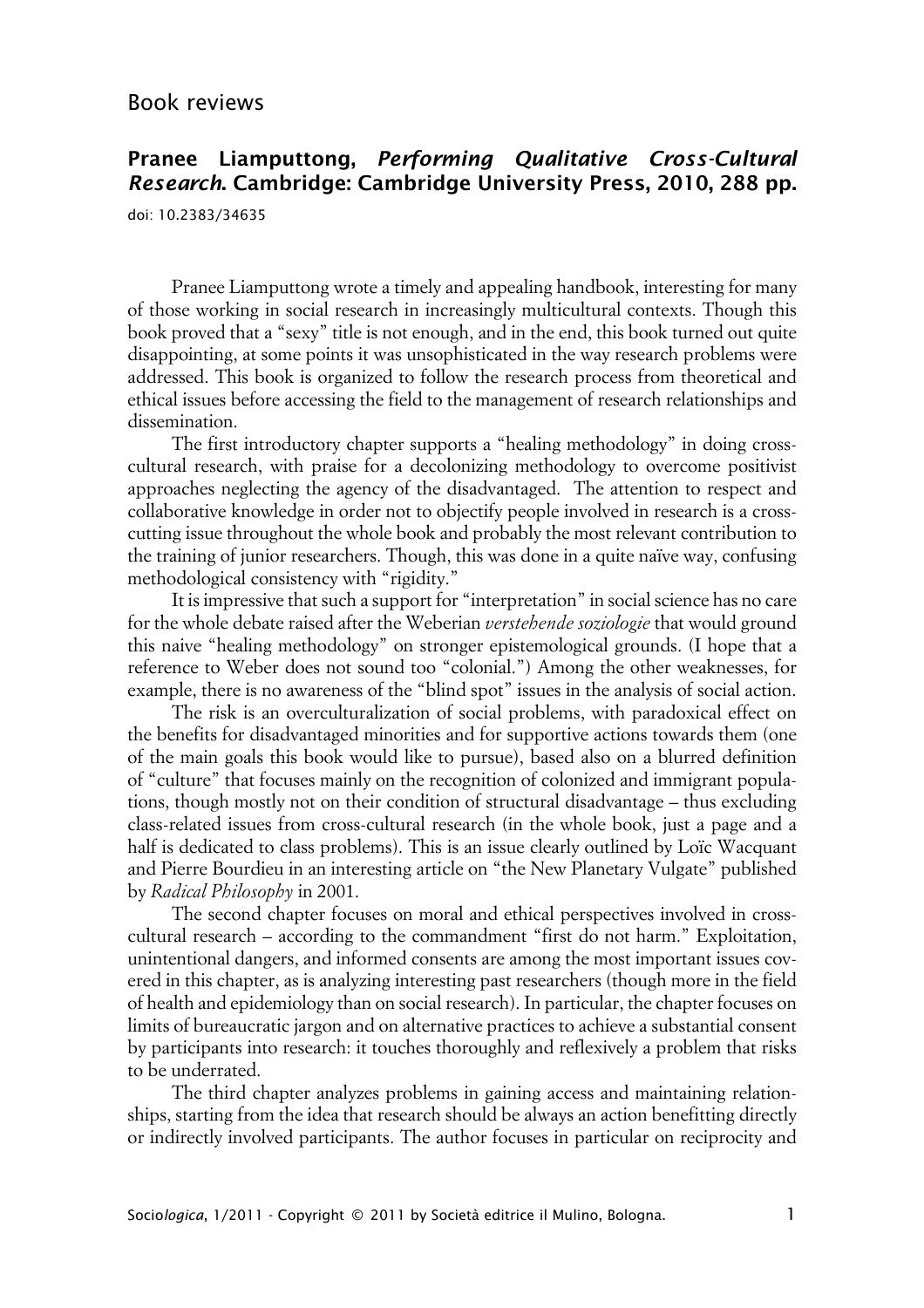## **Pranee Liamputtong, Performing Qualitative Cross-Cultural Research. Cambridge: Cambridge University Press, 2010, 288 pp.**

doi: 10.2383/34635

Pranee Liamputtong wrote a timely and appealing handbook, interesting for many of those working in social research in increasingly multicultural contexts. Though this book proved that a "sexy" title is not enough, and in the end, this book turned out quite disappointing, at some points it was unsophisticated in the way research problems were addressed. This book is organized to follow the research process from theoretical and ethical issues before accessing the field to the management of research relationships and dissemination.

The first introductory chapter supports a "healing methodology" in doing crosscultural research, with praise for a decolonizing methodology to overcome positivist approaches neglecting the agency of the disadvantaged. The attention to respect and collaborative knowledge in order not to objectify people involved in research is a crosscutting issue throughout the whole book and probably the most relevant contribution to the training of junior researchers. Though, this was done in a quite naïve way, confusing methodological consistency with "rigidity."

It is impressive that such a support for "interpretation" in social science has no care for the whole debate raised after the Weberian *verstehende soziologie* that would ground this naive "healing methodology" on stronger epistemological grounds. (I hope that a reference to Weber does not sound too "colonial.") Among the other weaknesses, for example, there is no awareness of the "blind spot" issues in the analysis of social action.

The risk is an overculturalization of social problems, with paradoxical effect on the benefits for disadvantaged minorities and for supportive actions towards them (one of the main goals this book would like to pursue), based also on a blurred definition of "culture" that focuses mainly on the recognition of colonized and immigrant populations, though mostly not on their condition of structural disadvantage – thus excluding class-related issues from cross-cultural research (in the whole book, just a page and a half is dedicated to class problems). This is an issue clearly outlined by Loïc Wacquant and Pierre Bourdieu in an interesting article on "the New Planetary Vulgate" published by *Radical Philosophy* in 2001.

The second chapter focuses on moral and ethical perspectives involved in crosscultural research – according to the commandment "first do not harm." Exploitation, unintentional dangers, and informed consents are among the most important issues covered in this chapter, as is analyzing interesting past researchers (though more in the field of health and epidemiology than on social research). In particular, the chapter focuses on limits of bureaucratic jargon and on alternative practices to achieve a substantial consent by participants into research: it touches thoroughly and reflexively a problem that risks to be underrated.

The third chapter analyzes problems in gaining access and maintaining relationships, starting from the idea that research should be always an action benefitting directly or indirectly involved participants. The author focuses in particular on reciprocity and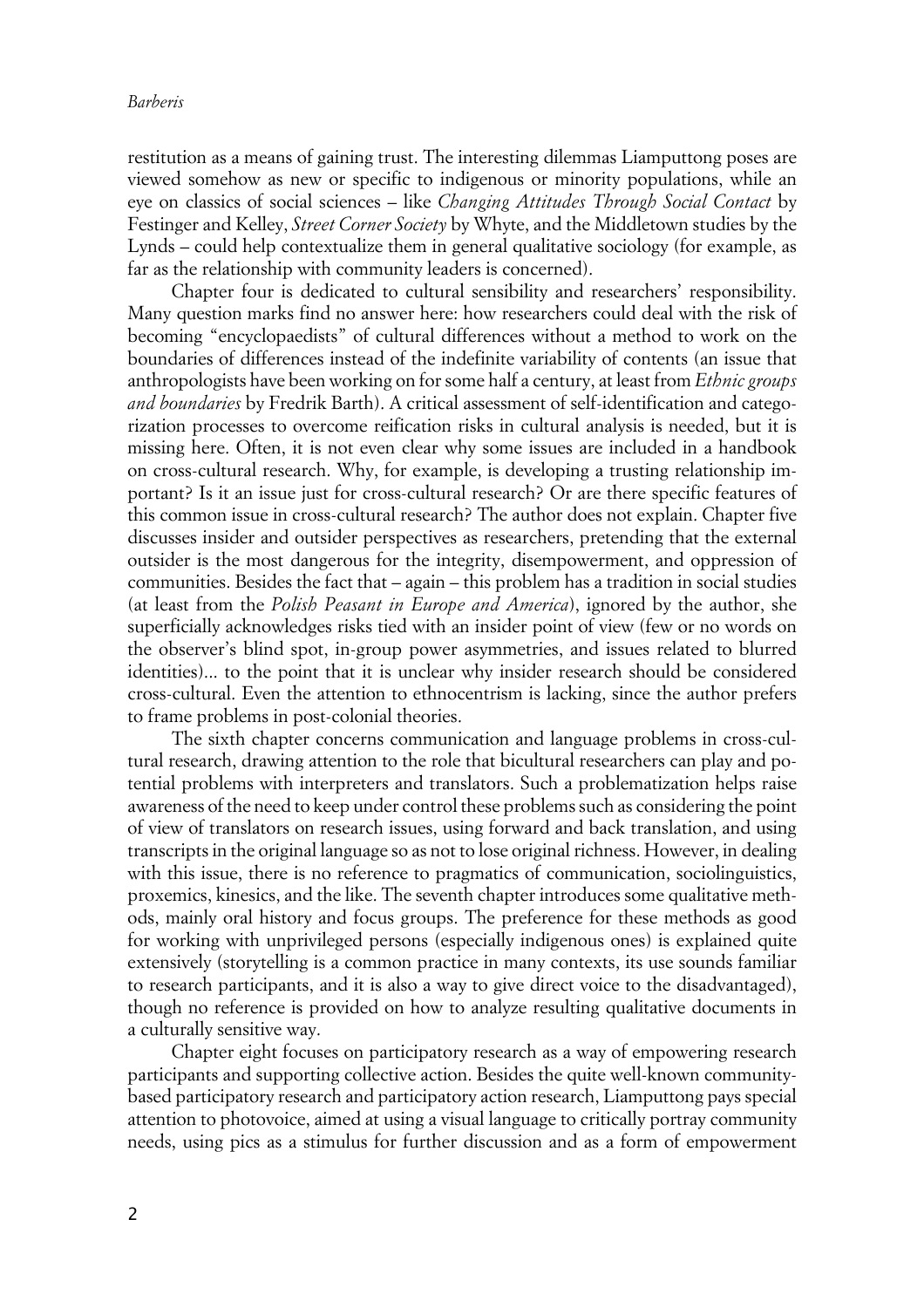## *Barberis*

restitution as a means of gaining trust. The interesting dilemmas Liamputtong poses are viewed somehow as new or specific to indigenous or minority populations, while an eye on classics of social sciences – like *Changing Attitudes Through Social Contact* by Festinger and Kelley, *Street Corner Society* by Whyte, and the Middletown studies by the Lynds – could help contextualize them in general qualitative sociology (for example, as far as the relationship with community leaders is concerned).

Chapter four is dedicated to cultural sensibility and researchers' responsibility. Many question marks find no answer here: how researchers could deal with the risk of becoming "encyclopaedists" of cultural differences without a method to work on the boundaries of differences instead of the indefinite variability of contents (an issue that anthropologists have been working on for some half a century, at least from *Ethnic groups and boundaries* by Fredrik Barth). A critical assessment of self-identification and categorization processes to overcome reification risks in cultural analysis is needed, but it is missing here. Often, it is not even clear why some issues are included in a handbook on cross-cultural research. Why, for example, is developing a trusting relationship important? Is it an issue just for cross-cultural research? Or are there specific features of this common issue in cross-cultural research? The author does not explain. Chapter five discusses insider and outsider perspectives as researchers, pretending that the external outsider is the most dangerous for the integrity, disempowerment, and oppression of communities. Besides the fact that – again – this problem has a tradition in social studies (at least from the *Polish Peasant in Europe and America*), ignored by the author, she superficially acknowledges risks tied with an insider point of view (few or no words on the observer's blind spot, in-group power asymmetries, and issues related to blurred identities)... to the point that it is unclear why insider research should be considered cross-cultural. Even the attention to ethnocentrism is lacking, since the author prefers to frame problems in post-colonial theories.

The sixth chapter concerns communication and language problems in cross-cultural research, drawing attention to the role that bicultural researchers can play and potential problems with interpreters and translators. Such a problematization helps raise awareness of the need to keep under control these problems such as considering the point of view of translators on research issues, using forward and back translation, and using transcripts in the original language so as not to lose original richness. However, in dealing with this issue, there is no reference to pragmatics of communication, sociolinguistics, proxemics, kinesics, and the like. The seventh chapter introduces some qualitative methods, mainly oral history and focus groups. The preference for these methods as good for working with unprivileged persons (especially indigenous ones) is explained quite extensively (storytelling is a common practice in many contexts, its use sounds familiar to research participants, and it is also a way to give direct voice to the disadvantaged), though no reference is provided on how to analyze resulting qualitative documents in a culturally sensitive way.

Chapter eight focuses on participatory research as a way of empowering research participants and supporting collective action. Besides the quite well-known communitybased participatory research and participatory action research, Liamputtong pays special attention to photovoice, aimed at using a visual language to critically portray community needs, using pics as a stimulus for further discussion and as a form of empowerment